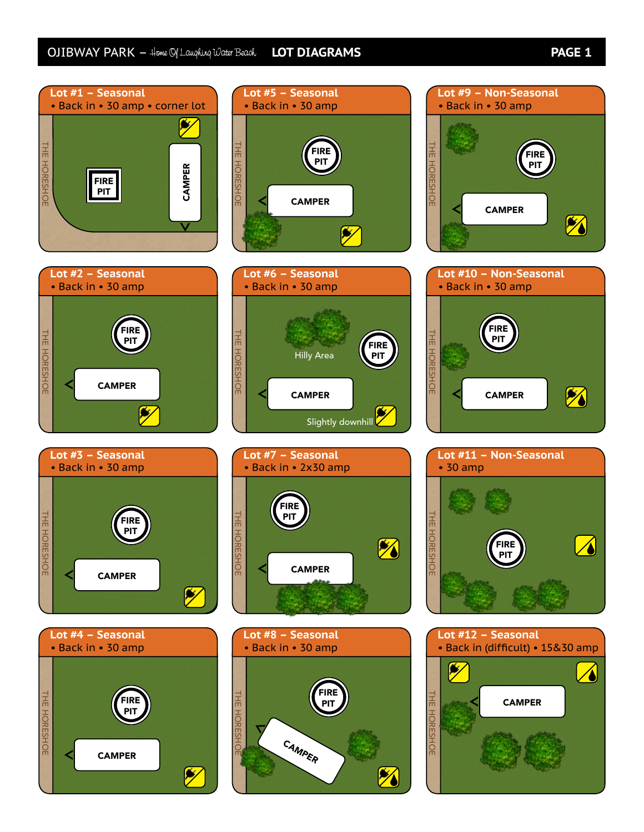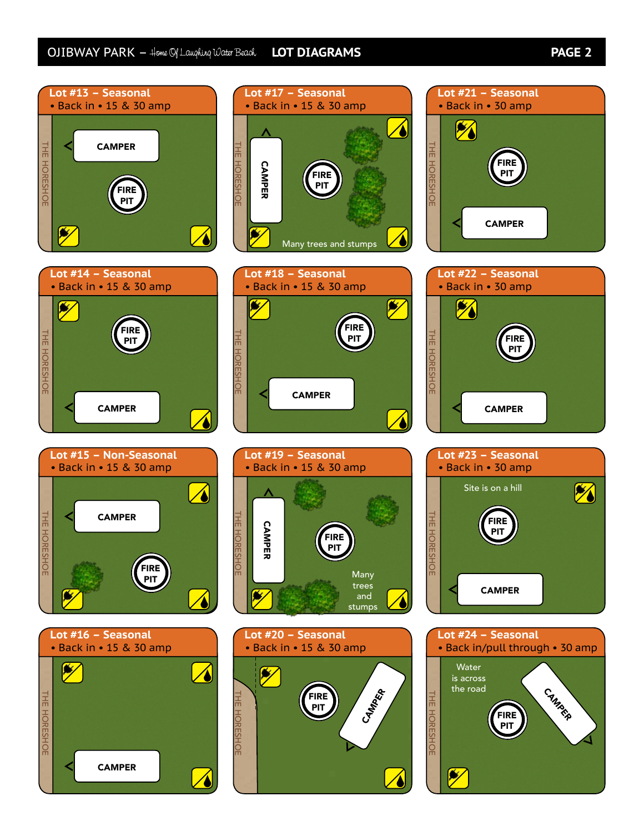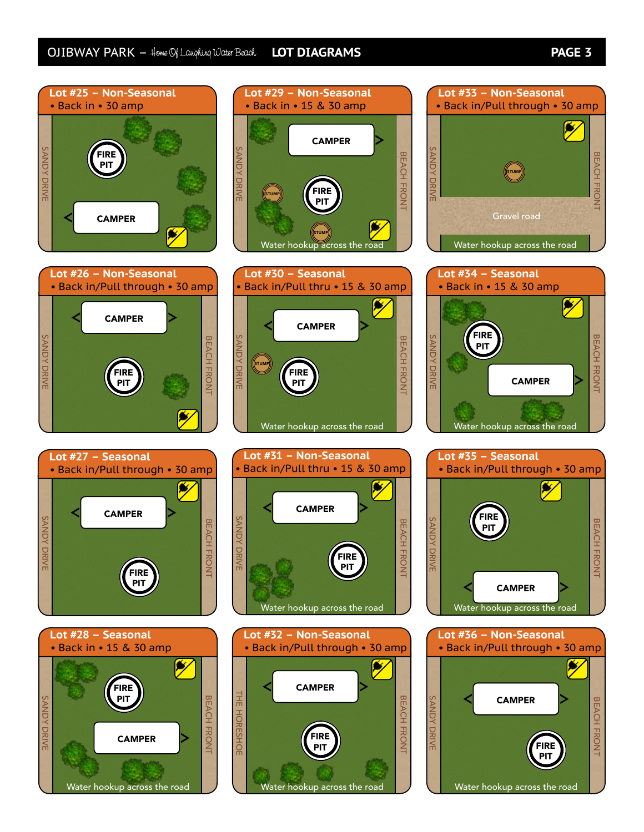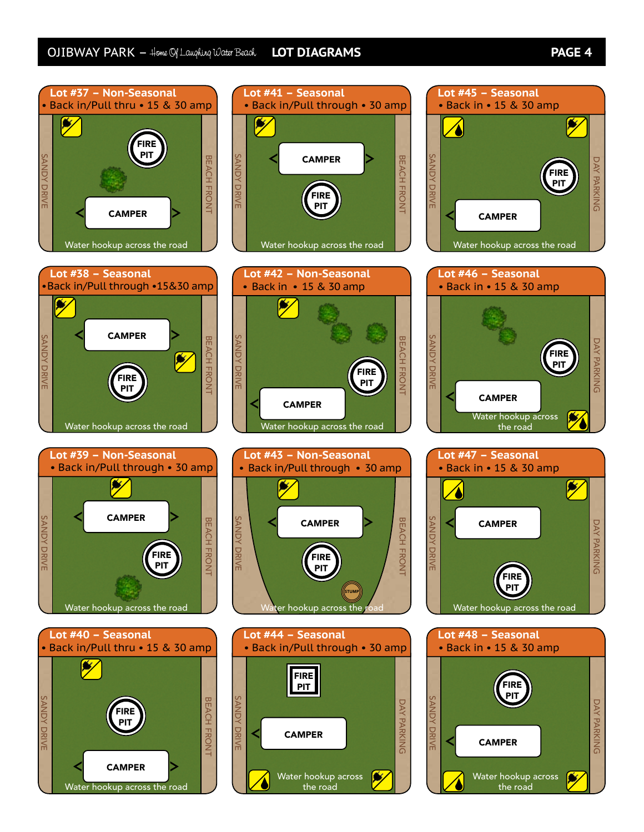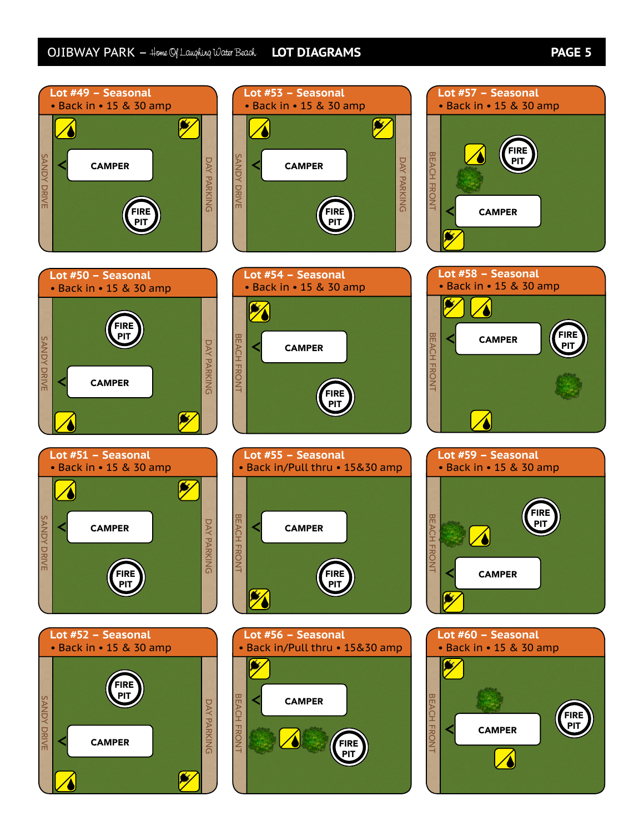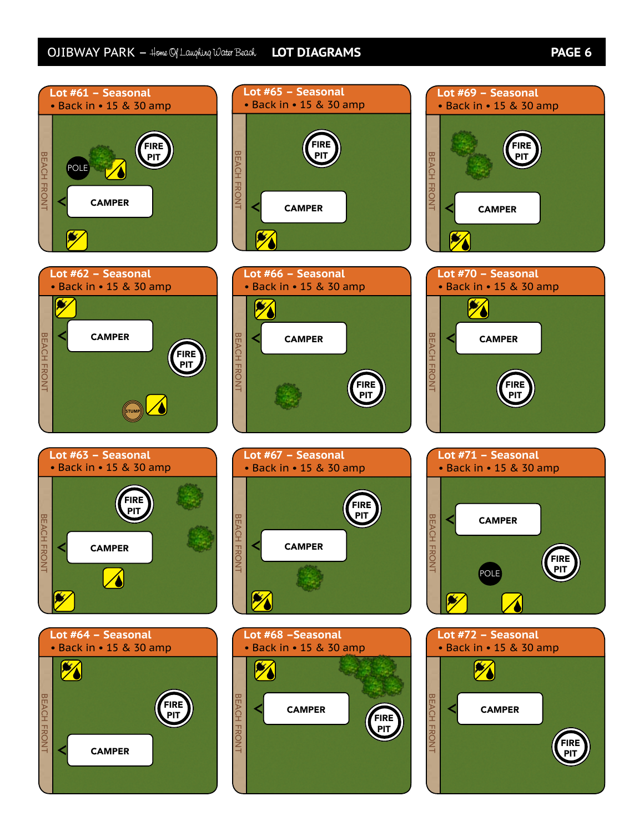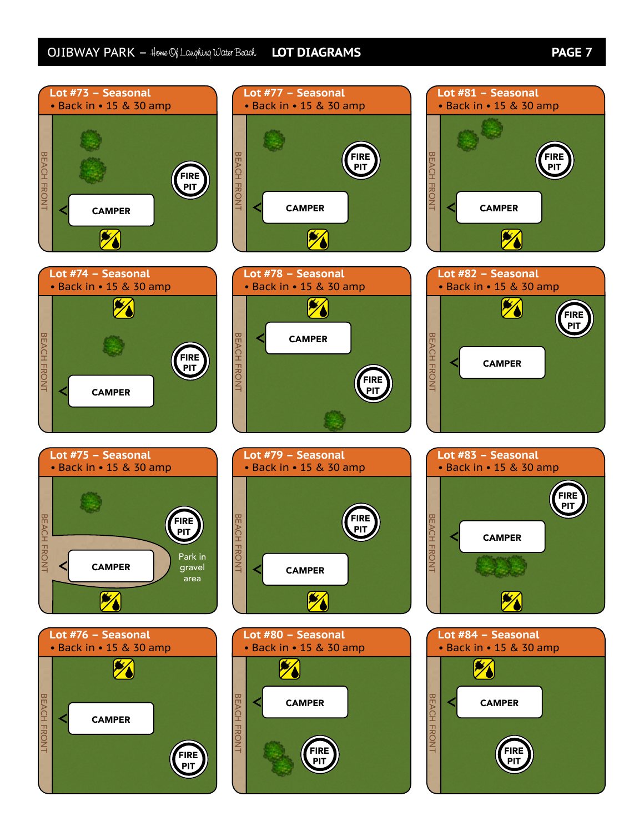